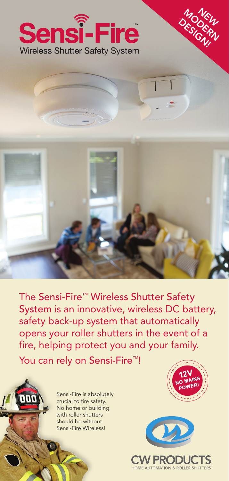



The Sensi-Fire™ Wireless Shutter Safety System is an innovative, wireless DC battery, safety back-up system that automatically opens your roller shutters in the event of a fire, helping protect you and your family.

You can rely on Sensi-Fire<sup>™!</sup>



Sensi-Fire is absolutely crucial to fire safety. No home or building with roller shutters should be without Sensi-Fire Wireless!



MODEN<br>RESIGERN DESIGN!